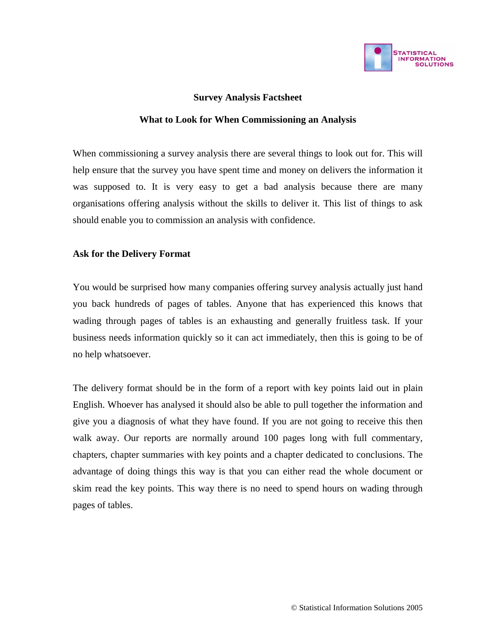

# **Survey Analysis Factsheet**

### **What to Look for When Commissioning an Analysis**

When commissioning a survey analysis there are several things to look out for. This will help ensure that the survey you have spent time and money on delivers the information it was supposed to. It is very easy to get a bad analysis because there are many organisations offering analysis without the skills to deliver it. This list of things to ask should enable you to commission an analysis with confidence.

## **Ask for the Delivery Format**

You would be surprised how many companies offering survey analysis actually just hand you back hundreds of pages of tables. Anyone that has experienced this knows that wading through pages of tables is an exhausting and generally fruitless task. If your business needs information quickly so it can act immediately, then this is going to be of no help whatsoever.

The delivery format should be in the form of a report with key points laid out in plain English. Whoever has analysed it should also be able to pull together the information and give you a diagnosis of what they have found. If you are not going to receive this then walk away. Our reports are normally around 100 pages long with full commentary, chapters, chapter summaries with key points and a chapter dedicated to conclusions. The advantage of doing things this way is that you can either read the whole document or skim read the key points. This way there is no need to spend hours on wading through pages of tables.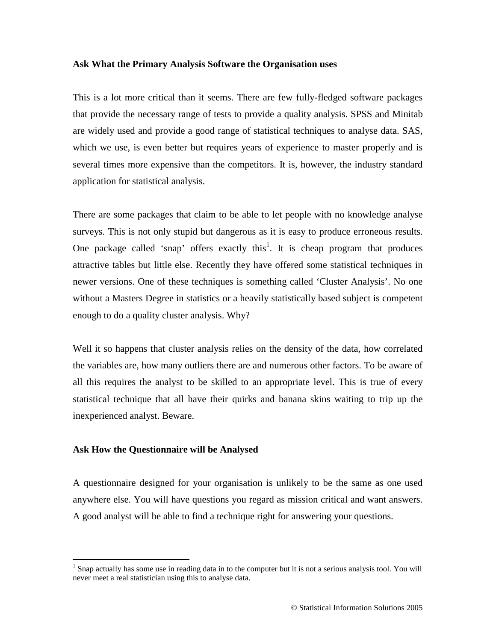#### **Ask What the Primary Analysis Software the Organisation uses**

This is a lot more critical than it seems. There are few fully-fledged software packages that provide the necessary range of tests to provide a quality analysis. SPSS and Minitab are widely used and provide a good range of statistical techniques to analyse data. SAS, which we use, is even better but requires years of experience to master properly and is several times more expensive than the competitors. It is, however, the industry standard application for statistical analysis.

There are some packages that claim to be able to let people with no knowledge analyse surveys. This is not only stupid but dangerous as it is easy to produce erroneous results. One package called 'snap' offers exactly this<sup>1</sup>. It is cheap program that produces attractive tables but little else. Recently they have offered some statistical techniques in newer versions. One of these techniques is something called 'Cluster Analysis'. No one without a Masters Degree in statistics or a heavily statistically based subject is competent enough to do a quality cluster analysis. Why?

Well it so happens that cluster analysis relies on the density of the data, how correlated the variables are, how many outliers there are and numerous other factors. To be aware of all this requires the analyst to be skilled to an appropriate level. This is true of every statistical technique that all have their quirks and banana skins waiting to trip up the inexperienced analyst. Beware.

### **Ask How the Questionnaire will be Analysed**

A questionnaire designed for your organisation is unlikely to be the same as one used anywhere else. You will have questions you regard as mission critical and want answers. A good analyst will be able to find a technique right for answering your questions.

<sup>&</sup>lt;sup>1</sup> Snap actually has some use in reading data in to the computer but it is not a serious analysis tool. You will never meet a real statistician using this to analyse data.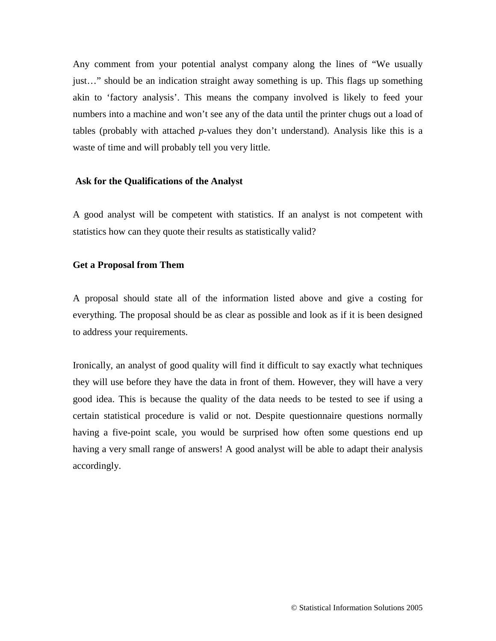Any comment from your potential analyst company along the lines of "We usually just…" should be an indication straight away something is up. This flags up something akin to 'factory analysis'. This means the company involved is likely to feed your numbers into a machine and won't see any of the data until the printer chugs out a load of tables (probably with attached *p*-values they don't understand). Analysis like this is a waste of time and will probably tell you very little.

#### **Ask for the Qualifications of the Analyst**

A good analyst will be competent with statistics. If an analyst is not competent with statistics how can they quote their results as statistically valid?

#### **Get a Proposal from Them**

A proposal should state all of the information listed above and give a costing for everything. The proposal should be as clear as possible and look as if it is been designed to address your requirements.

Ironically, an analyst of good quality will find it difficult to say exactly what techniques they will use before they have the data in front of them. However, they will have a very good idea. This is because the quality of the data needs to be tested to see if using a certain statistical procedure is valid or not. Despite questionnaire questions normally having a five-point scale, you would be surprised how often some questions end up having a very small range of answers! A good analyst will be able to adapt their analysis accordingly.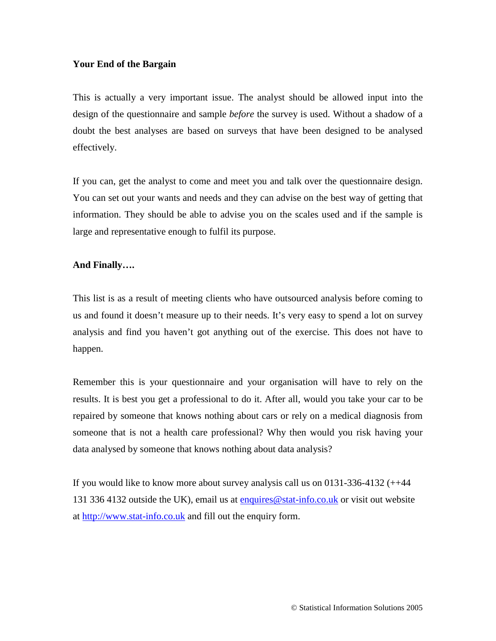## **Your End of the Bargain**

This is actually a very important issue. The analyst should be allowed input into the design of the questionnaire and sample *before* the survey is used. Without a shadow of a doubt the best analyses are based on surveys that have been designed to be analysed effectively.

If you can, get the analyst to come and meet you and talk over the questionnaire design. You can set out your wants and needs and they can advise on the best way of getting that information. They should be able to advise you on the scales used and if the sample is large and representative enough to fulfil its purpose.

# **And Finally….**

This list is as a result of meeting clients who have outsourced analysis before coming to us and found it doesn't measure up to their needs. It's very easy to spend a lot on survey analysis and find you haven't got anything out of the exercise. This does not have to happen.

Remember this is your questionnaire and your organisation will have to rely on the results. It is best you get a professional to do it. After all, would you take your car to be repaired by someone that knows nothing about cars or rely on a medical diagnosis from someone that is not a health care professional? Why then would you risk having your data analysed by someone that knows nothing about data analysis?

If you would like to know more about survey analysis call us on 0131-336-4132 (++44 131 336 4132 outside the UK), email us at enquires@stat-info.co.uk or visit out website at http://www.stat-info.co.uk and fill out the enquiry form.